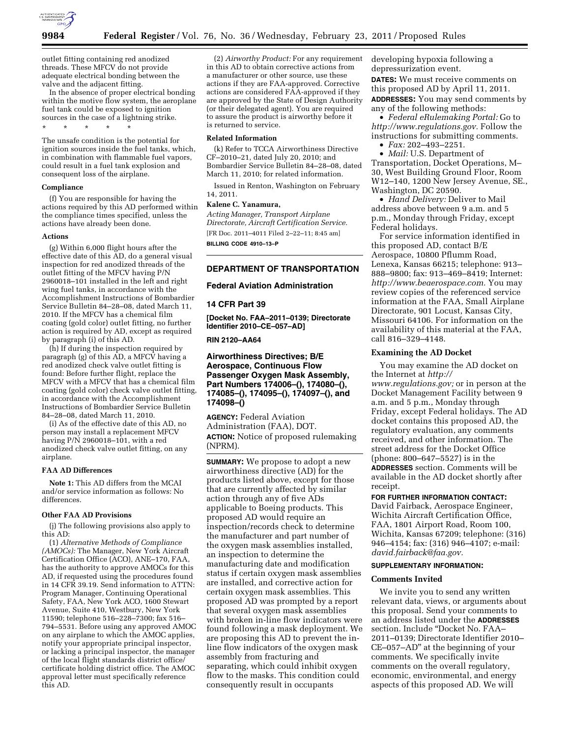

outlet fitting containing red anodized threads. These MFCV do not provide adequate electrical bonding between the valve and the adjacent fitting.

In the absence of proper electrical bonding within the motive flow system, the aeroplane fuel tank could be exposed to ignition sources in the case of a lightning strike. \* \* \* \* \*

The unsafe condition is the potential for ignition sources inside the fuel tanks, which, in combination with flammable fuel vapors, could result in a fuel tank explosion and consequent loss of the airplane.

#### **Compliance**

(f) You are responsible for having the actions required by this AD performed within the compliance times specified, unless the actions have already been done.

#### **Actions**

(g) Within 6,000 flight hours after the effective date of this AD, do a general visual inspection for red anodized threads of the outlet fitting of the MFCV having P/N 2960018–101 installed in the left and right wing fuel tanks, in accordance with the Accomplishment Instructions of Bombardier Service Bulletin 84–28–08, dated March 11, 2010. If the MFCV has a chemical film coating (gold color) outlet fitting, no further action is required by AD, except as required by paragraph (i) of this AD.

(h) If during the inspection required by paragraph (g) of this AD, a MFCV having a red anodized check valve outlet fitting is found: Before further flight, replace the MFCV with a MFCV that has a chemical film coating (gold color) check valve outlet fitting, in accordance with the Accomplishment Instructions of Bombardier Service Bulletin 84–28–08, dated March 11, 2010.

(i) As of the effective date of this AD, no person may install a replacement MFCV having P/N 2960018–101, with a red anodized check valve outlet fitting, on any airplane.

#### **FAA AD Differences**

**Note 1:** This AD differs from the MCAI and/or service information as follows: No differences.

#### **Other FAA AD Provisions**

(j) The following provisions also apply to this AD:

(1) *Alternative Methods of Compliance (AMOCs):* The Manager, New York Aircraft Certification Office (ACO), ANE–170, FAA, has the authority to approve AMOCs for this AD, if requested using the procedures found in 14 CFR 39.19. Send information to ATTN: Program Manager, Continuing Operational Safety, FAA, New York ACO, 1600 Stewart Avenue, Suite 410, Westbury, New York 11590; telephone 516–228–7300; fax 516– 794–5531. Before using any approved AMOC on any airplane to which the AMOC applies, notify your appropriate principal inspector, or lacking a principal inspector, the manager of the local flight standards district office/ certificate holding district office. The AMOC approval letter must specifically reference this AD.

(2) *Airworthy Product:* For any requirement in this AD to obtain corrective actions from a manufacturer or other source, use these actions if they are FAA-approved. Corrective actions are considered FAA-approved if they are approved by the State of Design Authority (or their delegated agent). You are required to assure the product is airworthy before it is returned to service.

## **Related Information**

(k) Refer to TCCA Airworthiness Directive CF–2010–21, dated July 20, 2010; and Bombardier Service Bulletin 84–28–08, dated March 11, 2010; for related information.

Issued in Renton, Washington on February 14, 2011.

## **Kalene C. Yanamura,**

*Acting Manager, Transport Airplane Directorate, Aircraft Certification Service.*  [FR Doc. 2011–4011 Filed 2–22–11; 8:45 am] **BILLING CODE 4910–13–P** 

## **DEPARTMENT OF TRANSPORTATION**

#### **Federal Aviation Administration**

#### **14 CFR Part 39**

**[Docket No. FAA–2011–0139; Directorate Identifier 2010–CE–057–AD]** 

**RIN 2120–AA64** 

# **Airworthiness Directives; B/E Aerospace, Continuous Flow Passenger Oxygen Mask Assembly, Part Numbers 174006–(), 174080–(), 174085–(), 174095–(), 174097–(), and 174098–()**

**AGENCY:** Federal Aviation Administration (FAA), DOT. **ACTION:** Notice of proposed rulemaking (NPRM).

**SUMMARY:** We propose to adopt a new airworthiness directive (AD) for the products listed above, except for those that are currently affected by similar action through any of five ADs applicable to Boeing products. This proposed AD would require an inspection/records check to determine the manufacturer and part number of the oxygen mask assemblies installed, an inspection to determine the manufacturing date and modification status if certain oxygen mask assemblies are installed, and corrective action for certain oxygen mask assemblies. This proposed AD was prompted by a report that several oxygen mask assemblies with broken in-line flow indicators were found following a mask deployment. We are proposing this AD to prevent the inline flow indicators of the oxygen mask assembly from fracturing and separating, which could inhibit oxygen flow to the masks. This condition could consequently result in occupants

developing hypoxia following a depressurization event.

**DATES:** We must receive comments on this proposed AD by April 11, 2011. **ADDRESSES:** You may send comments by any of the following methods:

• *Federal eRulemaking Portal:* Go to *[http://www.regulations.gov.](http://www.regulations.gov)* Follow the instructions for submitting comments.

• *Fax:* 202–493–2251.

• *Mail:* U.S. Department of Transportation, Docket Operations, M– 30, West Building Ground Floor, Room W12–140, 1200 New Jersey Avenue, SE., Washington, DC 20590.

• *Hand Delivery:* Deliver to Mail address above between 9 a.m. and 5 p.m., Monday through Friday, except Federal holidays.

For service information identified in this proposed AD, contact B/E Aerospace, 10800 Pflumm Road, Lenexa, Kansas 66215; telephone: 913– 888–9800; fax: 913–469–8419; Internet: *[http://www.beaerospace.com.](http://www.beaerospace.com)* You may review copies of the referenced service information at the FAA, Small Airplane Directorate, 901 Locust, Kansas City, Missouri 64106. For information on the availability of this material at the FAA, call 816–329–4148.

## **Examining the AD Docket**

You may examine the AD docket on the Internet at *[http://](http://www.regulations.gov)  [www.regulations.gov;](http://www.regulations.gov)* or in person at the Docket Management Facility between 9 a.m. and 5 p.m., Monday through Friday, except Federal holidays. The AD docket contains this proposed AD, the regulatory evaluation, any comments received, and other information. The street address for the Docket Office (phone: 800–647–5527) is in the **ADDRESSES** section. Comments will be available in the AD docket shortly after receipt.

# **FOR FURTHER INFORMATION CONTACT:**

David Fairback, Aerospace Engineer, Wichita Aircraft Certification Office, FAA, 1801 Airport Road, Room 100, Wichita, Kansas 67209; telephone: (316) 946–4154; fax: (316) 946–4107; e-mail: *[david.fairback@faa.gov.](mailto:david.fairback@faa.gov)* 

# **SUPPLEMENTARY INFORMATION:**

## **Comments Invited**

We invite you to send any written relevant data, views, or arguments about this proposal. Send your comments to an address listed under the **ADDRESSES** section. Include "Docket No. FAA-2011–0139; Directorate Identifier 2010– CE–057–AD'' at the beginning of your comments. We specifically invite comments on the overall regulatory, economic, environmental, and energy aspects of this proposed AD. We will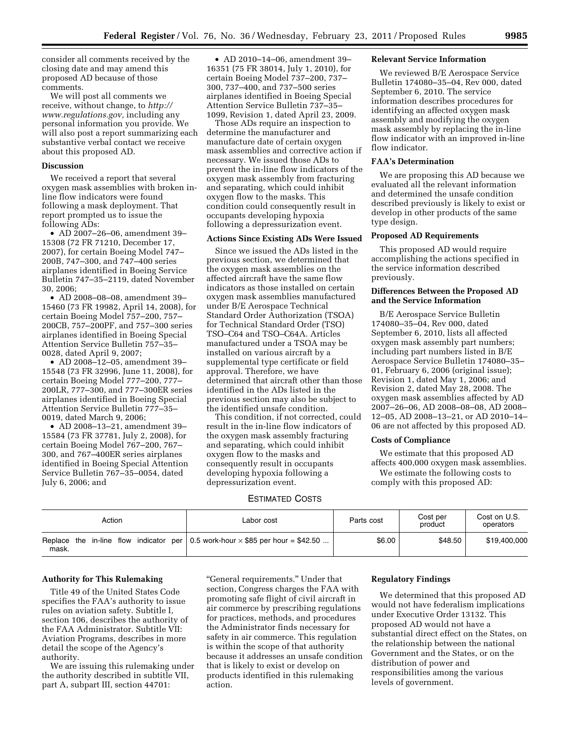consider all comments received by the closing date and may amend this proposed AD because of those comments.

We will post all comments we receive, without change, to *[http://](http://www.regulations.gov) [www.regulations.gov,](http://www.regulations.gov)* including any personal information you provide. We will also post a report summarizing each substantive verbal contact we receive about this proposed AD.

#### **Discussion**

We received a report that several oxygen mask assemblies with broken inline flow indicators were found following a mask deployment. That report prompted us to issue the following ADs:

• AD 2007–26–06, amendment 39– 15308 (72 FR 71210, December 17, 2007), for certain Boeing Model 747– 200B, 747–300, and 747–400 series airplanes identified in Boeing Service Bulletin 747–35–2119, dated November 30, 2006;

• AD 2008–08–08, amendment 39– 15460 (73 FR 19982, April 14, 2008), for certain Boeing Model 757–200, 757– 200CB, 757–200PF, and 757–300 series airplanes identified in Boeing Special Attention Service Bulletin 757–35– 0028, dated April 9, 2007;

• AD 2008–12–05, amendment 39– 15548 (73 FR 32996, June 11, 2008), for certain Boeing Model 777–200, 777– 200LR, 777–300, and 777–300ER series airplanes identified in Boeing Special Attention Service Bulletin 777–35– 0019, dated March 9, 2006;

• AD 2008–13–21, amendment 39– 15584 (73 FR 37781, July 2, 2008), for certain Boeing Model 767–200, 767– 300, and 767–400ER series airplanes identified in Boeing Special Attention Service Bulletin 767–35–0054, dated July 6, 2006; and

• AD 2010–14–06, amendment 39– 16351 (75 FR 38014, July 1, 2010), for certain Boeing Model 737–200, 737– 300, 737–400, and 737–500 series airplanes identified in Boeing Special Attention Service Bulletin 737–35– 1099, Revision 1, dated April 23, 2009.

Those ADs require an inspection to determine the manufacturer and manufacture date of certain oxygen mask assemblies and corrective action if necessary. We issued those ADs to prevent the in-line flow indicators of the oxygen mask assembly from fracturing and separating, which could inhibit oxygen flow to the masks. This condition could consequently result in occupants developing hypoxia following a depressurization event.

# **Actions Since Existing ADs Were Issued**

Since we issued the ADs listed in the previous section, we determined that the oxygen mask assemblies on the affected aircraft have the same flow indicators as those installed on certain oxygen mask assemblies manufactured under B/E Aerospace Technical Standard Order Authorization (TSOA) for Technical Standard Order (TSO) TSO–C64 and TSO–C64A. Articles manufactured under a TSOA may be installed on various aircraft by a supplemental type certificate or field approval. Therefore, we have determined that aircraft other than those identified in the ADs listed in the previous section may also be subject to the identified unsafe condition.

This condition, if not corrected, could result in the in-line flow indicators of the oxygen mask assembly fracturing and separating, which could inhibit oxygen flow to the masks and consequently result in occupants developing hypoxia following a depressurization event.

### ESTIMATED COSTS

#### Action **Cost performance Cost Cost Parts cost** Cost per Cost per product Cost on U.S. operators Replace the in-line flow indicator per mask. 0.5 work-hour  $\times$  \$85 per hour = \$42.50 ...  $\vert$  \$6.00  $\vert$  \$48.50  $\vert$  \$19,400,000

## **Authority for This Rulemaking**

Title 49 of the United States Code specifies the FAA's authority to issue rules on aviation safety. Subtitle I, section 106, describes the authority of the FAA Administrator. Subtitle VII: Aviation Programs, describes in more detail the scope of the Agency's authority.

We are issuing this rulemaking under the authority described in subtitle VII, part A, subpart III, section 44701:

''General requirements.'' Under that section, Congress charges the FAA with promoting safe flight of civil aircraft in air commerce by prescribing regulations for practices, methods, and procedures the Administrator finds necessary for safety in air commerce. This regulation is within the scope of that authority because it addresses an unsafe condition that is likely to exist or develop on products identified in this rulemaking action.

## **Relevant Service Information**

We reviewed B/E Aerospace Service Bulletin 174080–35–04, Rev 000, dated September 6, 2010. The service information describes procedures for identifying an affected oxygen mask assembly and modifying the oxygen mask assembly by replacing the in-line flow indicator with an improved in-line flow indicator.

## **FAA's Determination**

We are proposing this AD because we evaluated all the relevant information and determined the unsafe condition described previously is likely to exist or develop in other products of the same type design.

# **Proposed AD Requirements**

This proposed AD would require accomplishing the actions specified in the service information described previously.

# **Differences Between the Proposed AD and the Service Information**

B/E Aerospace Service Bulletin 174080–35–04, Rev 000, dated September 6, 2010, lists all affected oxygen mask assembly part numbers; including part numbers listed in B/E Aerospace Service Bulletin 174080–35– 01, February 6, 2006 (original issue); Revision 1, dated May 1, 2006; and Revision 2, dated May 28, 2008. The oxygen mask assemblies affected by AD 2007–26–06, AD 2008–08–08, AD 2008– 12–05, AD 2008–13–21, or AD 2010–14– 06 are not affected by this proposed AD.

## **Costs of Compliance**

We estimate that this proposed AD affects 400,000 oxygen mask assemblies. We estimate the following costs to comply with this proposed AD:

## **Regulatory Findings**

We determined that this proposed AD would not have federalism implications under Executive Order 13132. This proposed AD would not have a substantial direct effect on the States, on the relationship between the national Government and the States, or on the distribution of power and responsibilities among the various levels of government.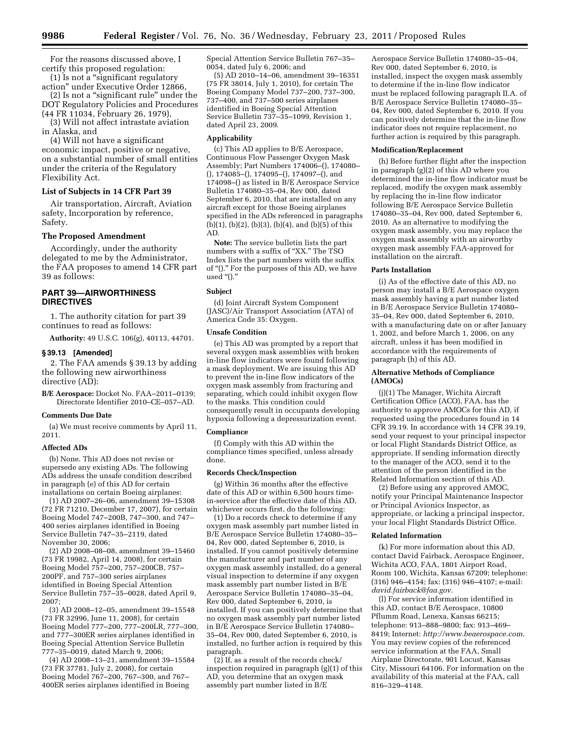For the reasons discussed above, I certify this proposed regulation:

(1) Is not a ''significant regulatory action'' under Executive Order 12866, (2) Is not a ''significant rule'' under the

DOT Regulatory Policies and Procedures (44 FR 11034, February 26, 1979), (3) Will not affect intrastate aviation

in Alaska, and

(4) Will not have a significant economic impact, positive or negative, on a substantial number of small entities under the criteria of the Regulatory Flexibility Act.

## **List of Subjects in 14 CFR Part 39**

Air transportation, Aircraft, Aviation safety, Incorporation by reference, Safety.

## **The Proposed Amendment**

Accordingly, under the authority delegated to me by the Administrator, the FAA proposes to amend 14 CFR part 39 as follows:

# **PART 39—AIRWORTHINESS DIRECTIVES**

1. The authority citation for part 39 continues to read as follows:

**Authority:** 49 U.S.C. 106(g), 40113, 44701.

#### **§ 39.13 [Amended]**

2. The FAA amends § 39.13 by adding the following new airworthiness directive (AD):

**B/E Aerospace:** Docket No. FAA–2011–0139; Directorate Identifier 2010–CE–057–AD.

## **Comments Due Date**

(a) We must receive comments by April 11, 2011.

#### **Affected ADs**

(b) None. This AD does not revise or supersede any existing ADs. The following ADs address the unsafe condition described in paragraph (e) of this AD for certain installations on certain Boeing airplanes:

(1) AD 2007–26–06, amendment 39–15308 (72 FR 71210, December 17, 2007), for certain Boeing Model 747–200B, 747–300, and 747– 400 series airplanes identified in Boeing Service Bulletin 747–35–2119, dated November 30, 2006;

(2) AD 2008–08–08, amendment 39–15460 (73 FR 19982, April 14, 2008), for certain Boeing Model 757–200, 757–200CB, 757– 200PF, and 757–300 series airplanes identified in Boeing Special Attention Service Bulletin 757–35–0028, dated April 9, 2007;

(3) AD 2008–12–05, amendment 39–15548 (73 FR 32996, June 11, 2008), for certain Boeing Model 777–200, 777–200LR, 777–300, and 777–300ER series airplanes identified in Boeing Special Attention Service Bulletin 777–35–0019, dated March 9, 2006;

(4) AD 2008–13–21, amendment 39–15584 (73 FR 37781, July 2, 2008), for certain Boeing Model 767–200, 767–300, and 767– 400ER series airplanes identified in Boeing

Special Attention Service Bulletin 767–35– 0054, dated July 6, 2006; and

(5) AD 2010–14–06, amendment 39–16351 (75 FR 38014, July 1, 2010), for certain The Boeing Company Model 737–200, 737–300, 737–400, and 737–500 series airplanes identified in Boeing Special Attention Service Bulletin 737–35–1099, Revision 1, dated April 23, 2009.

# **Applicability**

(c) This AD applies to B/E Aerospace, Continuous Flow Passenger Oxygen Mask Assembly; Part Numbers 174006–(), 174080– (), 174085–(), 174095–(), 174097–(), and 174098–() as listed in B/E Aerospace Service Bulletin 174080–35–04, Rev 000, dated September 6, 2010, that are installed on any aircraft except for those Boeing airplanes specified in the ADs referenced in paragraphs  $(b)(1), (b)(2), (b)(3), (b)(4),$  and  $(b)(5)$  of this AD.

**Note:** The service bulletin lists the part numbers with a suffix of "XX." The TSO Index lists the part numbers with the suffix of "()." For the purposes of this AD, we have used "()."

### **Subject**

(d) Joint Aircraft System Component (JASC)/Air Transport Association (ATA) of America Code 35: Oxygen.

#### **Unsafe Condition**

(e) This AD was prompted by a report that several oxygen mask assemblies with broken in-line flow indicators were found following a mask deployment. We are issuing this AD to prevent the in-line flow indicators of the oxygen mask assembly from fracturing and separating, which could inhibit oxygen flow to the masks. This condition could consequently result in occupants developing hypoxia following a depressurization event.

#### **Compliance**

(f) Comply with this AD within the compliance times specified, unless already done.

#### **Records Check/Inspection**

(g) Within 36 months after the effective date of this AD or within 6,500 hours timein-service after the effective date of this AD, whichever occurs first, do the following:

(1) Do a records check to determine if any oxygen mask assembly part number listed in B/E Aerospace Service Bulletin 174080–35– 04, Rev 000, dated September 6, 2010, is installed. If you cannot positively determine the manufacturer and part number of any oxygen mask assembly installed, do a general visual inspection to determine if any oxygen mask assembly part number listed in B/E Aerospace Service Bulletin 174080–35–04, Rev 000, dated September 6, 2010, is installed. If you can positively determine that no oxygen mask assembly part number listed in B/E Aerospace Service Bulletin 174080– 35–04, Rev 000, dated September 6, 2010, is installed, no further action is required by this paragraph.

(2) If, as a result of the records check/ inspection required in paragraph (g)(1) of this AD, you determine that an oxygen mask assembly part number listed in B/E

Aerospace Service Bulletin 174080–35–04, Rev 000, dated September 6, 2010, is installed, inspect the oxygen mask assembly to determine if the in-line flow indicator must be replaced following paragraph II.A. of B/E Aerospace Service Bulletin 174080–35– 04, Rev 000, dated September 6, 2010. If you can positively determine that the in-line flow indicator does not require replacement, no further action is required by this paragraph.

#### **Modification/Replacement**

(h) Before further flight after the inspection in paragraph (g)(2) of this AD where you determined the in-line flow indicator must be replaced, modify the oxygen mask assembly by replacing the in-line flow indicator following B/E Aerospace Service Bulletin 174080–35–04, Rev 000, dated September 6, 2010. As an alternative to modifying the oxygen mask assembly, you may replace the oxygen mask assembly with an airworthy oxygen mask assembly FAA-approved for installation on the aircraft.

## **Parts Installation**

(i) As of the effective date of this AD, no person may install a B/E Aerospace oxygen mask assembly having a part number listed in B/E Aerospace Service Bulletin 174080– 35–04, Rev 000, dated September 6, 2010, with a manufacturing date on or after January 1, 2002, and before March 1, 2006, on any aircraft, unless it has been modified in accordance with the requirements of paragraph (h) of this AD.

### **Alternative Methods of Compliance (AMOCs)**

(j)(1) The Manager, Wichita Aircraft Certification Office (ACO), FAA, has the authority to approve AMOCs for this AD, if requested using the procedures found in 14 CFR 39.19. In accordance with 14 CFR 39.19, send your request to your principal inspector or local Flight Standards District Office, as appropriate. If sending information directly to the manager of the ACO, send it to the attention of the person identified in the Related Information section of this AD.

(2) Before using any approved AMOC, notify your Principal Maintenance Inspector or Principal Avionics Inspector, as appropriate, or lacking a principal inspector, your local Flight Standards District Office.

# **Related Information**

(k) For more information about this AD, contact David Fairback, Aerospace Engineer, Wichita ACO, FAA, 1801 Airport Road, Room 100, Wichita, Kansas 67209; telephone: (316) 946–4154; fax: (316) 946–4107; e-mail: *[david.fairback@faa.gov](mailto:david.fairback@faa.gov)*.

(l) For service information identified in this AD, contact B/E Aerospace, 10800 Pflumm Road, Lenexa, Kansas 66215; telephone: 913–888–9800; fax: 913–469– 8419; Internet: *<http://www.beaerospace.com>*. You may review copies of the referenced service information at the FAA, Small Airplane Directorate, 901 Locust, Kansas City, Missouri 64106. For information on the availability of this material at the FAA, call 816–329–4148.